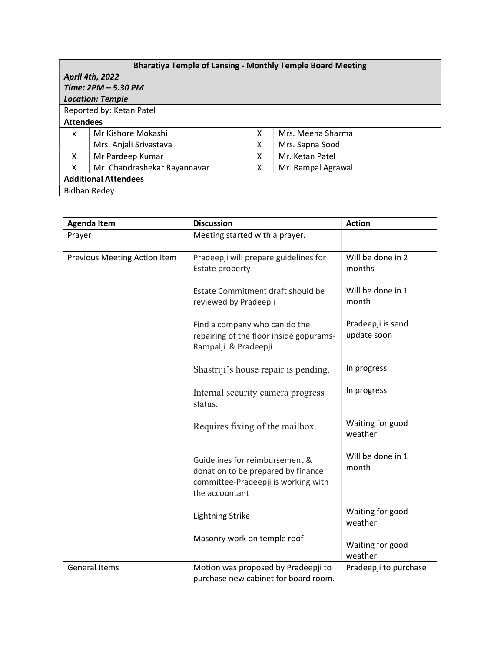| <b>Bharatiya Temple of Lansing - Monthly Temple Board Meeting</b> |                              |   |                    |  |  |
|-------------------------------------------------------------------|------------------------------|---|--------------------|--|--|
| <b>April 4th, 2022</b>                                            |                              |   |                    |  |  |
| Time: 2PM - 5.30 PM                                               |                              |   |                    |  |  |
| <b>Location: Temple</b>                                           |                              |   |                    |  |  |
| Reported by: Ketan Patel                                          |                              |   |                    |  |  |
| <b>Attendees</b>                                                  |                              |   |                    |  |  |
| x                                                                 | Mr Kishore Mokashi           | x | Mrs. Meena Sharma  |  |  |
|                                                                   | Mrs. Anjali Srivastava       | x | Mrs. Sapna Sood    |  |  |
| X                                                                 | Mr Pardeep Kumar             | x | Mr. Ketan Patel    |  |  |
| X                                                                 | Mr. Chandrashekar Rayannavar | x | Mr. Rampal Agrawal |  |  |
| <b>Additional Attendees</b>                                       |                              |   |                    |  |  |
| Bidhan Redey                                                      |                              |   |                    |  |  |

| <b>Agenda Item</b>           | <b>Discussion</b>                                                                                                             | <b>Action</b>                    |
|------------------------------|-------------------------------------------------------------------------------------------------------------------------------|----------------------------------|
| Prayer                       | Meeting started with a prayer.                                                                                                |                                  |
| Previous Meeting Action Item | Pradeepji will prepare guidelines for<br>Estate property                                                                      | Will be done in 2<br>months      |
|                              | Estate Commitment draft should be<br>reviewed by Pradeepji                                                                    | Will be done in 1<br>month       |
|                              | Find a company who can do the<br>repairing of the floor inside gopurams-<br>Rampalji & Pradeepji                              | Pradeepji is send<br>update soon |
|                              | Shastriji's house repair is pending.                                                                                          | In progress                      |
|                              | Internal security camera progress<br>status.                                                                                  | In progress                      |
|                              | Requires fixing of the mailbox.                                                                                               | Waiting for good<br>weather      |
|                              | Guidelines for reimbursement &<br>donation to be prepared by finance<br>committee-Pradeepji is working with<br>the accountant | Will be done in 1<br>month       |
|                              | <b>Lightning Strike</b>                                                                                                       | Waiting for good<br>weather      |
|                              | Masonry work on temple roof                                                                                                   | Waiting for good<br>weather      |
| <b>General Items</b>         | Motion was proposed by Pradeepji to<br>purchase new cabinet for board room.                                                   | Pradeepji to purchase            |
|                              |                                                                                                                               |                                  |